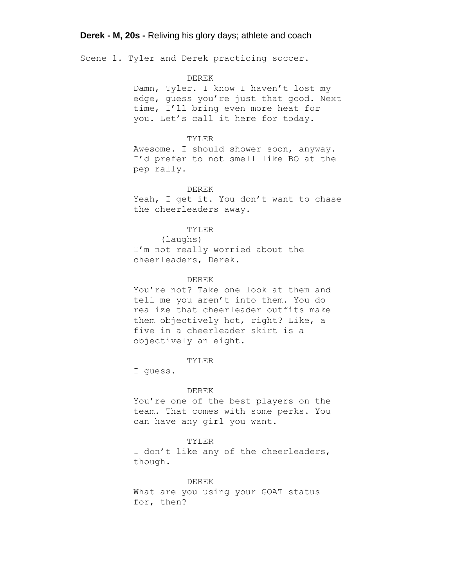Scene 1. Tyler and Derek practicing soccer.

## DEREK

Damn, Tyler. I know I haven't lost my edge, guess you're just that good. Next time, I'll bring even more heat for you. Let's call it here for today.

# TYLER

Awesome. I should shower soon, anyway. I'd prefer to not smell like BO at the pep rally.

#### DEREK

Yeah, I get it. You don't want to chase the cheerleaders away.

## TYLER

(laughs) I'm not really worried about the cheerleaders, Derek.

# DEREK

You're not? Take one look at them and tell me you aren't into them. You do realize that cheerleader outfits make them objectively hot, right? Like, a five in a cheerleader skirt is a objectively an eight.

#### TYLER

I guess.

#### DEREK

You're one of the best players on the team. That comes with some perks. You can have any girl you want.

#### TYLER

I don't like any of the cheerleaders, though.

DEREK

What are you using your GOAT status for, then?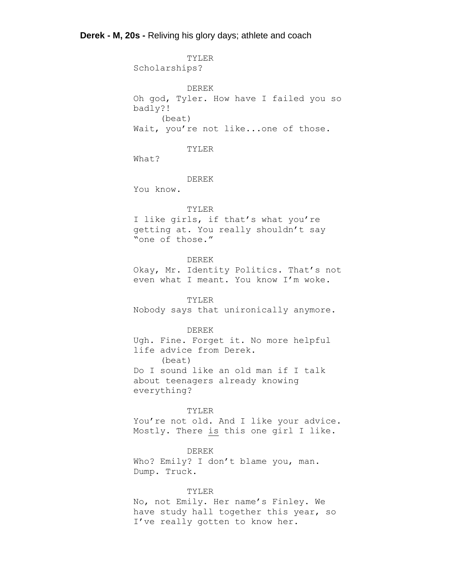TYLER Scholarships? DEREK Oh god, Tyler. How have I failed you so badly?! (beat) Wait, you're not like...one of those. TYLER What? DEREK You know. TYLER I like girls, if that's what you're getting at. You really shouldn't say "one of those." DEREK Okay, Mr. Identity Politics. That's not even what I meant. You know I'm woke. TYLER Nobody says that unironically anymore. DEREK Ugh. Fine. Forget it. No more helpful life advice from Derek. (beat) Do I sound like an old man if I talk about teenagers already knowing everything? TYLER You're not old. And I like your advice. Mostly. There is this one girl I like. DEREK Who? Emily? I don't blame you, man. Dump. Truck. TYLER

No, not Emily. Her name's Finley. We have study hall together this year, so I've really gotten to know her.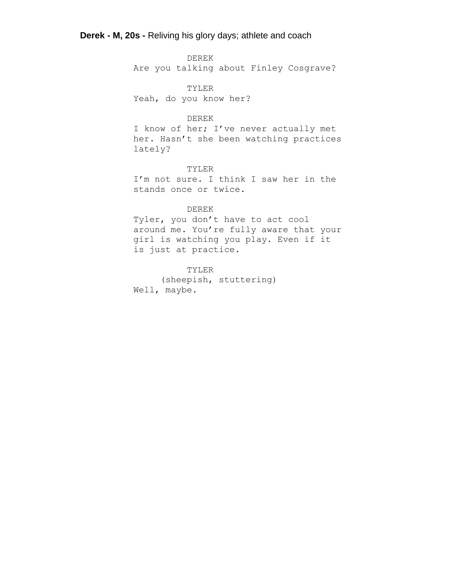DEREK Are you talking about Finley Cosgrave?

TYLER Yeah, do you know her?

# DEREK

I know of her; I've never actually met her. Hasn't she been watching practices lately?

## TYLER

I'm not sure. I think I saw her in the stands once or twice.

### DEREK

Tyler, you don't have to act cool around me. You're fully aware that your girl is watching you play. Even if it is just at practice.

# TYLER

(sheepish, stuttering) Well, maybe.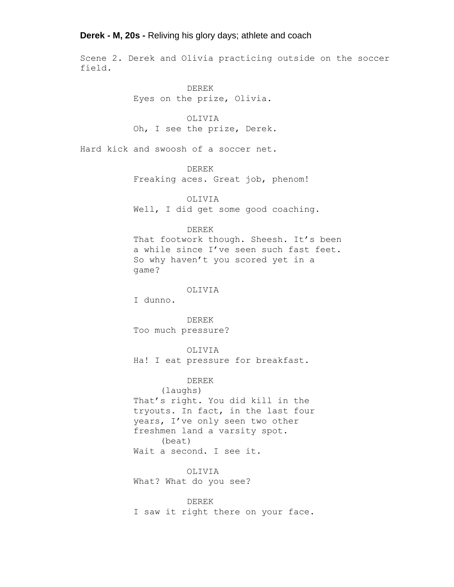Scene 2. Derek and Olivia practicing outside on the soccer field.

> DEREK Eyes on the prize, Olivia.

OLIVIA Oh, I see the prize, Derek.

Hard kick and swoosh of a soccer net.

DEREK

Freaking aces. Great job, phenom!

OLIVIA

Well, I did get some good coaching.

### DEREK

That footwork though. Sheesh. It's been a while since I've seen such fast feet. So why haven't you scored yet in a game?

# OLIVIA

I dunno.

DEREK Too much pressure?

OLIVIA

Ha! I eat pressure for breakfast.

## DEREK

(laughs) That's right. You did kill in the tryouts. In fact, in the last four years, I've only seen two other freshmen land a varsity spot. (beat) Wait a second. I see it.

OLIVIA What? What do you see?

DEREK I saw it right there on your face.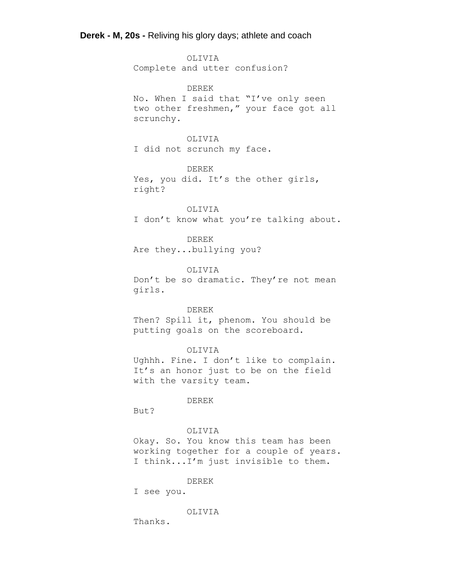OLIVIA Complete and utter confusion?

DEREK No. When I said that "I've only seen two other freshmen," your face got all scrunchy.

# OLIVIA

I did not scrunch my face.

DEREK

Yes, you did. It's the other girls, right?

OLIVIA I don't know what you're talking about.

DEREK Are they...bullying you?

OLIVIA

Don't be so dramatic. They're not mean girls.

## DEREK

Then? Spill it, phenom. You should be putting goals on the scoreboard.

## OLIVIA

Ughhh. Fine. I don't like to complain. It's an honor just to be on the field with the varsity team.

#### DEREK

But?

# OLIVIA

Okay. So. You know this team has been working together for a couple of years. I think...I'm just invisible to them.

# DEREK

I see you.

# OLIVIA

Thanks.